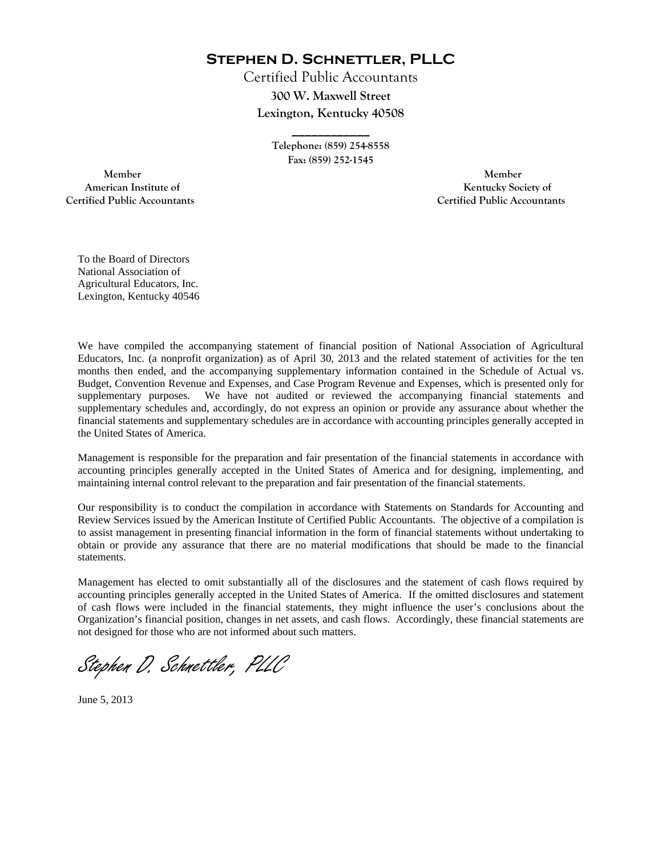**Stephen D. Schnettler, PLLC**

Certified Public Accountants **300 W. Maxwell Street Lexington, Kentucky 40508** 

> **Telephone: (859) 254-8558 Fax: (859) 252-1545**

**\_\_\_\_\_\_\_\_\_\_\_\_** 

 **Member Member Certified Public Accountants Certified Public Accountants** 

American Institute of **Kentucky Society of** 

To the Board of Directors National Association of Agricultural Educators, Inc. Lexington, Kentucky 40546

We have compiled the accompanying statement of financial position of National Association of Agricultural Educators, Inc. (a nonprofit organization) as of April 30, 2013 and the related statement of activities for the ten months then ended, and the accompanying supplementary information contained in the Schedule of Actual vs. Budget, Convention Revenue and Expenses, and Case Program Revenue and Expenses, which is presented only for supplementary purposes. We have not audited or reviewed the accompanying financial statements and supplementary schedules and, accordingly, do not express an opinion or provide any assurance about whether the financial statements and supplementary schedules are in accordance with accounting principles generally accepted in the United States of America.

Management is responsible for the preparation and fair presentation of the financial statements in accordance with accounting principles generally accepted in the United States of America and for designing, implementing, and maintaining internal control relevant to the preparation and fair presentation of the financial statements.

Our responsibility is to conduct the compilation in accordance with Statements on Standards for Accounting and Review Services issued by the American Institute of Certified Public Accountants. The objective of a compilation is to assist management in presenting financial information in the form of financial statements without undertaking to obtain or provide any assurance that there are no material modifications that should be made to the financial statements.

Management has elected to omit substantially all of the disclosures and the statement of cash flows required by accounting principles generally accepted in the United States of America. If the omitted disclosures and statement of cash flows were included in the financial statements, they might influence the user's conclusions about the Organization's financial position, changes in net assets, and cash flows. Accordingly, these financial statements are not designed for those who are not informed about such matters.

Stephen D. Schnettler, PLLC

June 5, 2013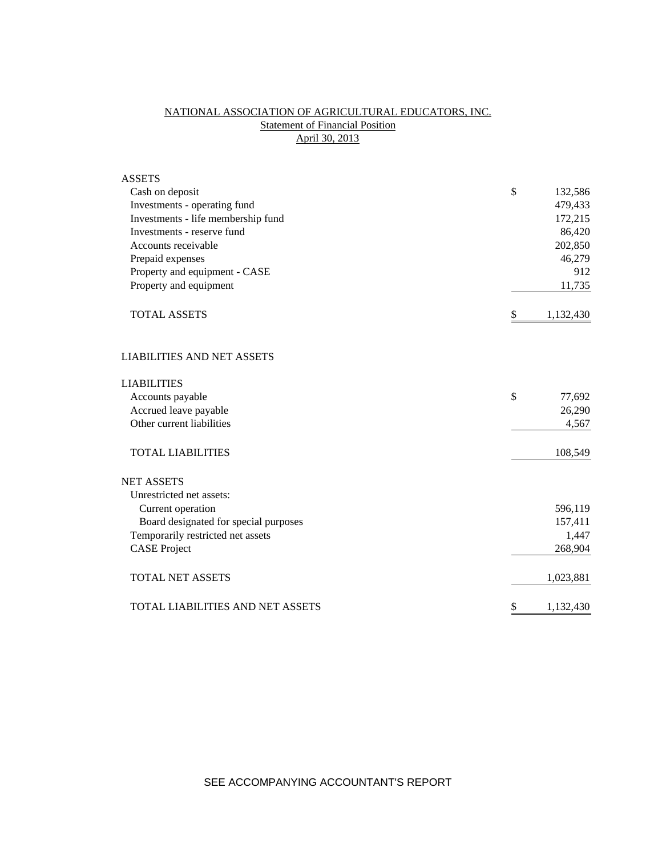# NATIONAL ASSOCIATION OF AGRICULTURAL EDUCATORS, INC. **Statement of Financial Position** April 30, 2013

| <b>ASSETS</b>                         |               |           |
|---------------------------------------|---------------|-----------|
| Cash on deposit                       | \$            | 132,586   |
| Investments - operating fund          |               | 479,433   |
| Investments - life membership fund    |               | 172,215   |
| Investments - reserve fund            |               | 86,420    |
| Accounts receivable                   |               | 202,850   |
| Prepaid expenses                      |               | 46,279    |
| Property and equipment - CASE         |               | 912       |
| Property and equipment                |               | 11,735    |
| <b>TOTAL ASSETS</b>                   | \$            | 1,132,430 |
| <b>LIABILITIES AND NET ASSETS</b>     |               |           |
| <b>LIABILITIES</b>                    |               |           |
| Accounts payable                      | $\mathcal{S}$ | 77,692    |
| Accrued leave payable                 |               | 26,290    |
| Other current liabilities             |               | 4,567     |
| <b>TOTAL LIABILITIES</b>              |               | 108,549   |
| <b>NET ASSETS</b>                     |               |           |
| Unrestricted net assets:              |               |           |
| Current operation                     |               | 596,119   |
| Board designated for special purposes |               | 157,411   |
| Temporarily restricted net assets     |               | 1,447     |
| <b>CASE Project</b>                   |               | 268,904   |
| <b>TOTAL NET ASSETS</b>               |               | 1,023,881 |
| TOTAL LIABILITIES AND NET ASSETS      | \$            | 1,132,430 |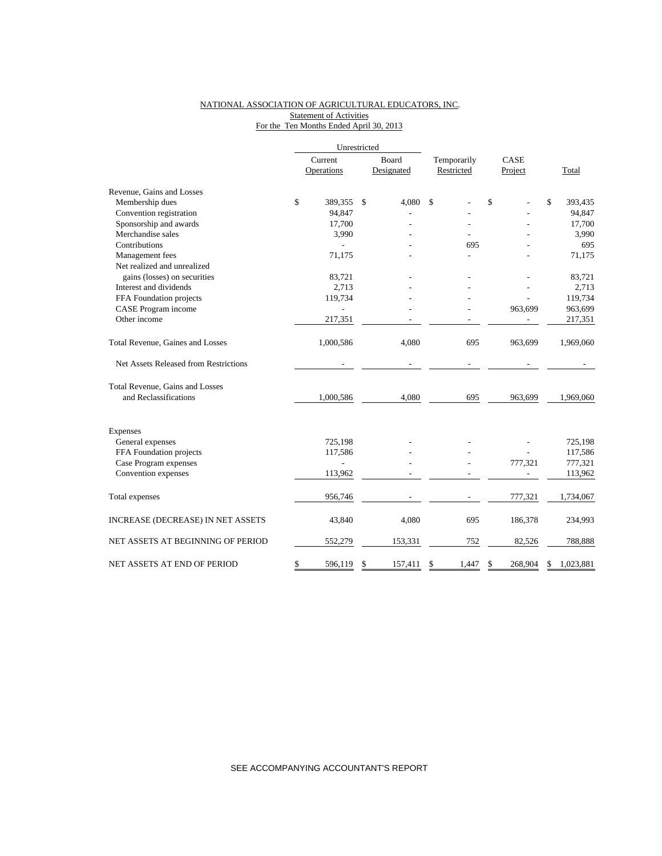### NATIONAL ASSOCIATION OF AGRICULTURAL EDUCATORS, INC. **Statement of Activities** For the Ten Months Ended April 30, 2013

|                                       | Unrestricted  |    |            |             |               |    |           |  |
|---------------------------------------|---------------|----|------------|-------------|---------------|----|-----------|--|
|                                       | Current       |    | Board      | Temporarily | CASE          |    |           |  |
|                                       | Operations    |    | Designated | Restricted  | Project       |    | Total     |  |
| Revenue, Gains and Losses             |               |    |            |             |               |    |           |  |
| Membership dues                       | \$<br>389,355 | \$ | 4,080      | \$          | \$            | \$ | 393,435   |  |
| Convention registration               | 94,847        |    |            |             |               |    | 94,847    |  |
| Sponsorship and awards                | 17,700        |    |            |             |               |    | 17,700    |  |
| Merchandise sales                     | 3,990         |    |            |             |               |    | 3,990     |  |
| Contributions                         |               |    |            | 695         |               |    | 695       |  |
| Management fees                       | 71,175        |    |            |             |               |    | 71,175    |  |
| Net realized and unrealized           |               |    |            |             |               |    |           |  |
| gains (losses) on securities          | 83,721        |    |            |             |               |    | 83,721    |  |
| Interest and dividends                | 2,713         |    |            |             |               |    | 2,713     |  |
| FFA Foundation projects               | 119,734       |    |            |             |               |    | 119,734   |  |
| CASE Program income                   |               |    |            |             | 963,699       |    | 963,699   |  |
| Other income                          | 217,351       |    |            |             |               |    | 217,351   |  |
| Total Revenue, Gaines and Losses      | 1,000,586     |    | 4,080      | 695         | 963,699       |    | 1,969,060 |  |
| Net Assets Released from Restrictions |               |    |            |             |               |    |           |  |
| Total Revenue, Gains and Losses       |               |    |            |             |               |    |           |  |
| and Reclassifications                 | 1,000,586     |    | 4,080      | 695         | 963,699       |    | 1,969,060 |  |
| Expenses                              |               |    |            |             |               |    |           |  |
| General expenses                      | 725,198       |    |            |             |               |    | 725,198   |  |
| FFA Foundation projects               | 117,586       |    |            |             |               |    | 117,586   |  |
| Case Program expenses                 |               |    |            |             | 777,321       |    | 777,321   |  |
| Convention expenses                   | 113,962       |    |            |             |               |    | 113,962   |  |
| Total expenses                        | 956,746       |    |            |             | 777,321       |    | 1,734,067 |  |
| INCREASE (DECREASE) IN NET ASSETS     | 43,840        |    | 4,080      | 695         | 186,378       |    | 234,993   |  |
| NET ASSETS AT BEGINNING OF PERIOD     | 552,279       |    | 153,331    | 752         | 82,526        |    | 788,888   |  |
| NET ASSETS AT END OF PERIOD           | \$<br>596,119 | \$ | 157,411    | \$<br>1,447 | \$<br>268,904 | \$ | 1,023,881 |  |

SEE ACCOMPANYING ACCOUNTANT'S REPORT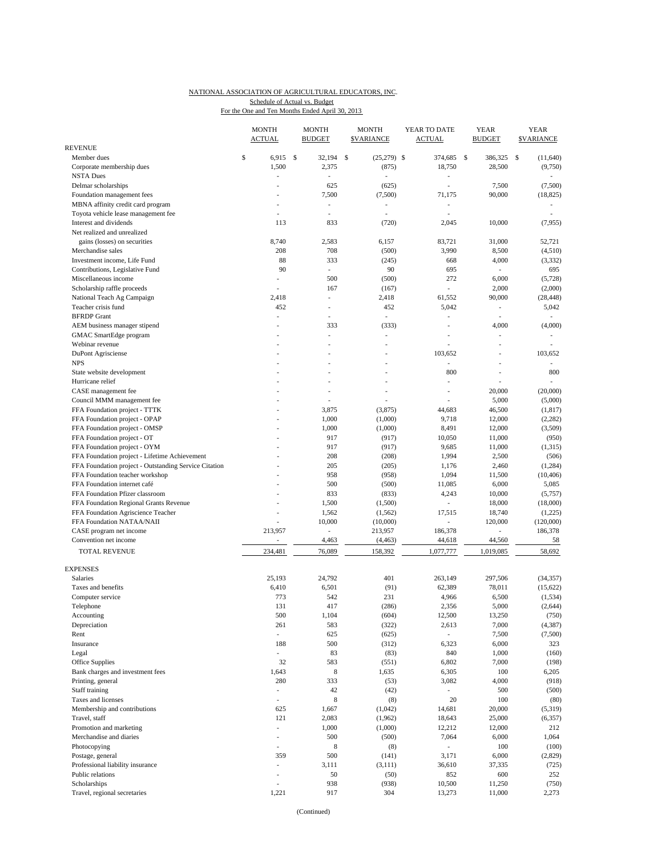### NATIONAL ASSOCIATION OF AGRICULTURAL EDUCATORS, INC. Schedule of Actual vs. Budget

For the One and Ten Months Ended April 30, 2013

|                                                                 | <b>MONTH</b><br><b>ACTUAL</b> |                                | <b>MONTH</b><br><b>BUDGET</b> | <b>MONTH</b><br><b>SVARIANCE</b> | YEAR TO DATE<br><b>ACTUAL</b>     |               | <b>YEAR</b><br><b>BUDGET</b> | <b>YEAR</b><br><b>SVARIANCE</b> |
|-----------------------------------------------------------------|-------------------------------|--------------------------------|-------------------------------|----------------------------------|-----------------------------------|---------------|------------------------------|---------------------------------|
| <b>REVENUE</b>                                                  |                               |                                |                               |                                  |                                   |               |                              |                                 |
| Member dues                                                     | \$                            | -S<br>6,915                    | 32,194                        | \$<br>$(25,279)$ \$              | 374.685                           | <sup>\$</sup> | 386,325                      | \$<br>(11, 640)                 |
| Corporate membership dues                                       |                               | 1,500                          | 2,375                         | (875)                            | 18,750                            |               | 28,500                       | (9,750)                         |
| <b>NSTA Dues</b>                                                |                               |                                | L,                            |                                  | $\overline{a}$<br>L,              |               |                              |                                 |
| Delmar scholarships                                             |                               | $\overline{a}$                 | 625                           | (625)                            | 71,175                            |               | 7,500                        | (7,500)                         |
| Foundation management fees<br>MBNA affinity credit card program |                               |                                | 7,500<br>÷,                   | (7,500)                          | $\overline{a}$                    |               | 90,000                       | (18, 825)                       |
| Toyota vehicle lease management fee                             |                               | ÷.                             | ٠                             | ä,                               | $\overline{a}$                    |               |                              |                                 |
| Interest and dividends                                          |                               | 113                            | 833                           | (720)                            | 2,045                             |               | 10,000                       | (7,955)                         |
| Net realized and unrealized                                     |                               |                                |                               |                                  |                                   |               |                              |                                 |
| gains (losses) on securities                                    |                               | 8,740                          | 2,583                         | 6,157                            | 83,721                            |               | 31,000                       | 52,721                          |
| Merchandise sales                                               |                               | 208                            | 708                           | (500)                            | 3,990                             |               | 8,500                        | (4,510)                         |
| Investment income, Life Fund                                    |                               | 88                             | 333                           | (245)                            | 668                               |               | 4,000                        | (3, 332)                        |
| Contributions, Legislative Fund                                 |                               | 90                             | ÷.                            | 90                               | 695                               |               | $\overline{\phantom{a}}$     | 695                             |
| Miscellaneous income                                            |                               | $\frac{1}{2}$                  | 500                           | (500)                            | 272                               |               | 6,000                        | (5,728)                         |
| Scholarship raffle proceeds                                     |                               |                                | 167                           | (167)                            | ÷                                 |               | 2,000                        | (2,000)                         |
| National Teach Ag Campaign                                      |                               | 2,418                          | ÷,                            | 2,418                            | 61,552                            |               | 90,000                       | (28, 448)                       |
| Teacher crisis fund                                             |                               | 452                            | ÷,                            | 452                              | 5,042                             |               | ÷,                           | 5,042                           |
| <b>BFRDP</b> Grant                                              |                               |                                | ÷,                            | $\overline{\phantom{a}}$         | i,                                |               | L,                           |                                 |
| AEM business manager stipend                                    |                               |                                | 333                           | (333)                            | $\overline{a}$                    |               | 4,000                        | (4,000)                         |
| GMAC SmartEdge program                                          |                               |                                | ÷,                            | à.                               | ä,                                |               | ÷,                           | ÷.                              |
| Webinar revenue                                                 |                               |                                | Ĭ.                            |                                  |                                   |               | J.                           |                                 |
| DuPont Agrisciense                                              |                               |                                |                               |                                  | 103,652                           |               |                              | 103.652                         |
| <b>NPS</b>                                                      |                               |                                | í.                            |                                  | ÷,                                |               | ÷,                           |                                 |
| State website development                                       |                               |                                | ä,                            |                                  | 800                               |               | ÷,                           | 800                             |
| Hurricane relief                                                |                               |                                | ÷,                            |                                  |                                   |               |                              |                                 |
| CASE management fee                                             |                               |                                | ä,                            |                                  | L,                                |               | 20,000                       | (20,000)                        |
| Council MMM management fee                                      |                               |                                | ÷,                            |                                  |                                   |               | 5,000                        | (5,000)                         |
| FFA Foundation project - TTTK                                   |                               |                                | 3,875                         | (3,875)                          | 44,683                            |               | 46,500                       | (1, 817)                        |
| FFA Foundation project - OPAP                                   |                               |                                | 1,000<br>1,000                | (1,000)                          | 9,718<br>8,491                    |               | 12,000<br>12,000             | (2, 282)<br>(3,509)             |
| FFA Foundation project - OMSP<br>FFA Foundation project - OT    |                               |                                | 917                           | (1,000)<br>(917)                 | 10,050                            |               | 11,000                       | (950)                           |
| FFA Foundation project - OYM                                    |                               |                                | 917                           | (917)                            | 9,685                             |               | 11,000                       | (1,315)                         |
| FFA Foundation project - Lifetime Achievement                   |                               |                                | 208                           | (208)                            | 1,994                             |               | 2,500                        | (506)                           |
| FFA Foundation project - Outstanding Service Citation           |                               |                                | 205                           | (205)                            | 1,176                             |               | 2,460                        | (1, 284)                        |
| FFA Foundation teacher workshop                                 |                               |                                | 958                           | (958)                            | 1,094                             |               | 11,500                       | (10, 406)                       |
| FFA Foundation internet café                                    |                               |                                | 500                           | (500)                            | 11,085                            |               | 6,000                        | 5,085                           |
| FFA Foundation Pfizer classroom                                 |                               |                                | 833                           | (833)                            | 4,243                             |               | 10,000                       | (5,757)                         |
| FFA Foundation Regional Grants Revenue                          |                               |                                | 1,500                         | (1,500)                          | $\sim$                            |               | 18,000                       | (18,000)                        |
| FFA Foundation Agriscience Teacher                              |                               |                                | 1,562                         | (1, 562)                         | 17,515                            |               | 18,740                       | (1,225)                         |
| FFA Foundation NATAA/NAII                                       |                               |                                | 10,000                        | (10,000)                         | ÷.                                |               | 120,000                      | (120,000)                       |
| CASE program net income                                         |                               | 213,957                        | $\frac{1}{2}$                 | 213,957                          | 186,378                           |               | ÷,                           | 186,378                         |
| Convention net income                                           |                               | $\frac{1}{2}$                  | 4,463                         | (4, 463)                         | 44,618                            |               | 44,560                       | 58                              |
| <b>TOTAL REVENUE</b>                                            |                               | 234,481                        | 76,089                        | 158,392                          | 1,077,777                         |               | 1,019,085                    | 58,692                          |
| <b>EXPENSES</b>                                                 |                               |                                |                               |                                  |                                   |               |                              |                                 |
| <b>Salaries</b>                                                 |                               | 25.193                         | 24,792                        | 401                              | 263,149                           |               | 297,506                      | (34, 357)                       |
| Taxes and benefits                                              |                               | 6,410                          | 6,501                         | (91)                             | 62,389                            |               | 78,011                       | (15, 622)                       |
| Computer service                                                |                               | 773                            | 542                           | 231                              | 4,966                             |               | 6,500                        | (1, 534)                        |
| Telephone                                                       |                               | 131                            | 417                           | (286)                            | 2,356                             |               | 5,000                        | (2,644)                         |
| Accounting                                                      |                               | 500                            | 1,104                         | (604)                            | 12,500                            |               | 13,250                       | (750)                           |
| Depreciation                                                    |                               | 261                            | 583                           | (322)                            | 2,613                             |               | 7,000                        | (4, 387)                        |
| Rent                                                            |                               | ÷.                             | 625                           | (625)                            | $\mathcal{L}_{\mathcal{A}}$       |               | 7,500                        | (7,500)                         |
| Insurance                                                       |                               | 188                            | 500                           | (312)                            | 6,323                             |               | 6,000                        | 323                             |
| Legal                                                           |                               | $\overline{\phantom{a}}$       | 83                            | (83)                             | 840                               |               | 1,000                        | (160)                           |
| Office Supplies                                                 |                               | 32                             | 583                           | (551)                            | 6,802                             |               | 7,000                        | (198)                           |
| Bank charges and investment fees                                |                               | 1,643                          | $\,$ 8 $\,$                   | 1,635                            | 6,305                             |               | 100                          | 6,205                           |
| Printing, general                                               |                               | 280                            | 333                           | (53)                             | 3,082<br>$\overline{\phantom{a}}$ |               | 4,000                        | (918)                           |
| Staff training<br>Taxes and licenses                            |                               | $\overline{\phantom{0}}$<br>ä, | 42<br>8                       | (42)                             | $20\,$                            |               | 500<br>100                   | (500)<br>(80)                   |
| Membership and contributions                                    |                               | 625                            | 1,667                         | (8)<br>(1,042)                   | 14,681                            |               | 20,000                       | (5,319)                         |
| Travel, staff                                                   |                               | 121                            | 2,083                         | (1, 962)                         | 18,643                            |               | 25,000                       | (6, 357)                        |
| Promotion and marketing                                         |                               | ÷,                             | 1,000                         | (1,000)                          | 12,212                            |               | 12,000                       | 212                             |
| Merchandise and diaries                                         |                               | ٠                              | 500                           | (500)                            | 7,064                             |               | 6,000                        | 1,064                           |
| Photocopying                                                    |                               | ÷,                             | $\,$ 8 $\,$                   | (8)                              | $\overline{\phantom{a}}$          |               | 100                          | (100)                           |
| Postage, general                                                |                               | 359                            | 500                           | (141)                            | 3,171                             |               | 6,000                        | (2,829)                         |
| Professional liability insurance                                |                               | $\frac{1}{2}$                  | 3,111                         | (3, 111)                         | 36,610                            |               | 37,335                       | (725)                           |
| Public relations                                                |                               | ٠                              | 50                            | (50)                             | 852                               |               | 600                          | 252                             |
| Scholarships                                                    |                               | $\overline{a}$                 | 938                           | (938)                            | 10,500                            |               | 11,250                       | (750)                           |
| Travel, regional secretaries                                    |                               | 1,221                          | 917                           | 304                              | 13,273                            |               | 11,000                       | 2,273                           |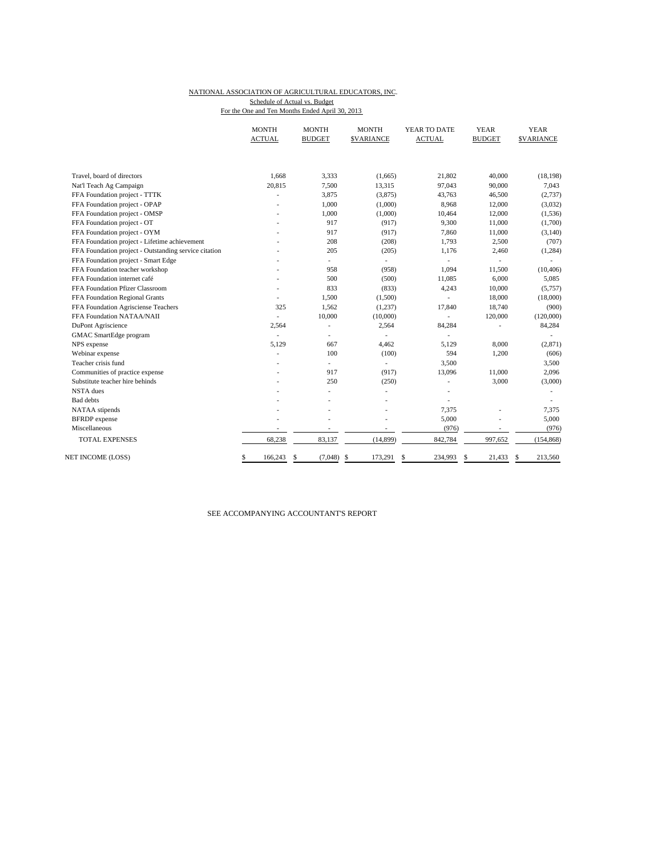#### NATIONAL ASSOCIATION OF AGRICULTURAL EDUCATORS, INC. For the One and Ten Months Ended April 30, 2013 Schedule of Actual vs. Budget

|                                                       | <b>MONTH</b><br><b>ACTUAL</b> | <b>MONTH</b><br><b>BUDGET</b> | <b>MONTH</b><br><b>\$VARIANCE</b> | YEAR TO DATE<br><b>ACTUAL</b> | <b>YEAR</b><br><b>BUDGET</b> | <b>YEAR</b><br><b>SVARIANCE</b> |
|-------------------------------------------------------|-------------------------------|-------------------------------|-----------------------------------|-------------------------------|------------------------------|---------------------------------|
|                                                       |                               |                               |                                   |                               |                              |                                 |
| Travel, board of directors                            | 1.668                         | 3.333                         | (1,665)                           | 21,802                        | 40,000                       | (18, 198)                       |
| Nat'l Teach Ag Campaign                               | 20,815                        | 7,500                         | 13,315                            | 97,043                        | 90,000                       | 7,043                           |
| FFA Foundation project - TTTK                         |                               | 3,875                         | (3,875)                           | 43,763                        | 46,500                       | (2,737)                         |
| FFA Foundation project - OPAP                         |                               | 1,000                         | (1,000)                           | 8,968                         | 12,000                       | (3,032)                         |
| FFA Foundation project - OMSP                         |                               | 1,000                         | (1,000)                           | 10,464                        | 12,000                       | (1,536)                         |
| FFA Foundation project - OT                           |                               | 917                           | (917)                             | 9,300                         | 11,000                       | (1,700)                         |
| FFA Foundation project - OYM                          |                               | 917                           | (917)                             | 7,860                         | 11,000                       | (3, 140)                        |
| FFA Foundation project - Lifetime achievement         |                               | 208                           | (208)                             | 1,793                         | 2,500                        | (707)                           |
| FFA Foundation project - Outstanding service citation |                               | 205                           | (205)                             | 1,176                         | 2,460                        | (1, 284)                        |
| FFA Foundation project - Smart Edge                   |                               | $\sim$                        | ٠                                 | ÷,                            | L,                           | ٠                               |
| FFA Foundation teacher workshop                       |                               | 958                           | (958)                             | 1,094                         | 11,500                       | (10, 406)                       |
| FFA Foundation internet café                          |                               | 500                           | (500)                             | 11,085                        | 6,000                        | 5,085                           |
| FFA Foundation Pfizer Classroom                       |                               | 833                           | (833)                             | 4,243                         | 10,000                       | (5,757)                         |
| FFA Foundation Regional Grants                        |                               | 1,500                         | (1,500)                           |                               | 18,000                       | (18,000)                        |
| FFA Foundation Agrisciense Teachers                   | 325                           | 1,562                         | (1,237)                           | 17,840                        | 18,740                       | (900)                           |
| FFA Foundation NATAA/NAII                             |                               | 10,000                        | (10,000)                          | $\overline{\phantom{a}}$      | 120,000                      | (120,000)                       |
| DuPont Agriscience                                    | 2.564                         | ä,                            | 2,564                             | 84,284                        |                              | 84,284                          |
| <b>GMAC</b> SmartEdge program                         | $\sim$                        | ÷,                            |                                   | $\overline{\phantom{a}}$      |                              |                                 |
| NPS expense                                           | 5,129                         | 667                           | 4,462                             | 5,129                         | 8,000                        | (2, 871)                        |
| Webinar expense                                       |                               | 100                           | (100)                             | 594                           | 1,200                        | (606)                           |
| Teacher crisis fund                                   |                               | $\overline{\phantom{a}}$      | $\overline{\phantom{a}}$          | 3,500                         |                              | 3,500                           |
| Communities of practice expense                       |                               | 917                           | (917)                             | 13,096                        | 11,000                       | 2,096                           |
| Substitute teacher hire behinds                       |                               | 250                           | (250)                             |                               | 3,000                        | (3,000)                         |
| <b>NSTA</b> dues                                      |                               |                               |                                   |                               |                              |                                 |
| <b>Bad</b> debts                                      |                               |                               |                                   |                               |                              |                                 |
| NATAA stipends                                        |                               |                               |                                   | 7,375                         | ٠                            | 7,375                           |
| <b>BFRDP</b> expense                                  |                               |                               |                                   | 5,000                         |                              | 5,000                           |
| Miscellaneous                                         | $\overline{\phantom{a}}$      | $\overline{a}$                | $\overline{\phantom{a}}$          | (976)                         | $\overline{\phantom{m}}$     | (976)                           |
| <b>TOTAL EXPENSES</b>                                 | 68,238                        | 83,137                        | (14, 899)                         | 842,784                       | 997,652                      | (154, 868)                      |
| NET INCOME (LOSS)                                     | \$<br>166,243                 | $\mathbf{s}$<br>(7,048)       | $\mathbf{s}$<br>173,291           | 234,993<br>\$                 | 21,433<br>\$                 | 213,560<br>\$                   |

SEE ACCOMPANYING ACCOUNTANT'S REPORT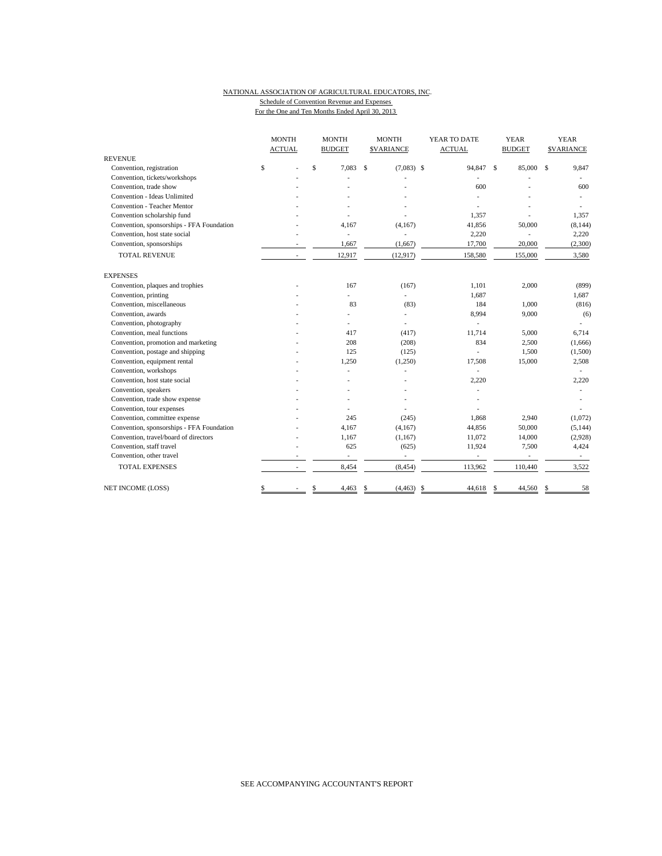## NATIONAL ASSOCIATION OF AGRICULTURAL EDUCATORS, INC. Schedule of Convention Revenue and Expenses

For the One and Ten Months Ended April 30, 2013

|                                           | <b>MONTH</b><br><b>ACTUAL</b> |   | <b>MONTH</b><br><b>BUDGET</b> | <b>MONTH</b><br><b>SVARIANCE</b> | YEAR TO DATE<br><b>ACTUAL</b> |                          | <b>YEAR</b><br><b>BUDGET</b> |         | <b>YEAR</b><br><b>SVARIANCE</b> |          |
|-------------------------------------------|-------------------------------|---|-------------------------------|----------------------------------|-------------------------------|--------------------------|------------------------------|---------|---------------------------------|----------|
| <b>REVENUE</b>                            |                               |   |                               |                                  |                               |                          |                              |         |                                 |          |
| Convention, registration                  | \$                            |   | \$<br>7,083                   | \$<br>$(7,083)$ \$               |                               | 94,847                   | $\mathcal{S}$                | 85,000  | \$                              | 9,847    |
| Convention, tickets/workshops             |                               |   |                               |                                  |                               |                          |                              |         |                                 |          |
| Convention, trade show                    |                               |   |                               |                                  |                               | 600                      |                              |         |                                 | 600      |
| Convention - Ideas Unlimited              |                               |   |                               |                                  |                               |                          |                              |         |                                 |          |
| <b>Convention - Teacher Mentor</b>        |                               |   |                               |                                  |                               |                          |                              |         |                                 |          |
| Convention scholarship fund               |                               |   |                               |                                  |                               | 1,357                    |                              |         |                                 | 1,357    |
| Convention, sponsorships - FFA Foundation |                               |   | 4,167                         | (4,167)                          |                               | 41,856                   |                              | 50,000  |                                 | (8, 144) |
| Convention, host state social             |                               |   | ٠                             |                                  |                               | 2,220                    |                              |         |                                 | 2,220    |
| Convention, sponsorships                  |                               |   | 1,667                         | (1,667)                          |                               | 17,700                   |                              | 20,000  |                                 | (2,300)  |
| <b>TOTAL REVENUE</b>                      |                               |   | 12,917                        | (12, 917)                        |                               | 158,580                  |                              | 155,000 |                                 | 3,580    |
| <b>EXPENSES</b>                           |                               |   |                               |                                  |                               |                          |                              |         |                                 |          |
| Convention, plaques and trophies          |                               |   | 167                           | (167)                            |                               | 1,101                    |                              | 2,000   |                                 | (899)    |
| Convention, printing                      |                               |   | ÷.                            | ÷,                               |                               | 1,687                    |                              |         |                                 | 1,687    |
| Convention, miscellaneous                 |                               |   | 83                            | (83)                             |                               | 184                      |                              | 1,000   |                                 | (816)    |
| Convention, awards                        |                               |   | L.                            | ä,                               |                               | 8,994                    |                              | 9,000   |                                 | (6)      |
| Convention, photography                   |                               |   | L,                            | ä,                               |                               |                          |                              |         |                                 | ä,       |
| Convention, meal functions                |                               |   | 417                           | (417)                            |                               | 11,714                   |                              | 5,000   |                                 | 6,714    |
| Convention, promotion and marketing       |                               |   | 208                           | (208)                            |                               | 834                      |                              | 2,500   |                                 | (1,666)  |
| Convention, postage and shipping          |                               |   | 125                           | (125)                            |                               |                          |                              | 1,500   |                                 | (1,500)  |
| Convention, equipment rental              |                               |   | 1,250                         | (1,250)                          |                               | 17,508                   |                              | 15,000  |                                 | 2,508    |
| Convention, workshops                     |                               |   |                               |                                  |                               |                          |                              |         |                                 |          |
| Convention, host state social             |                               |   |                               |                                  |                               | 2,220                    |                              |         |                                 | 2,220    |
| Convention, speakers                      |                               |   |                               |                                  |                               |                          |                              |         |                                 |          |
| Convention, trade show expense            |                               |   |                               |                                  |                               |                          |                              |         |                                 |          |
| Convention, tour expenses                 |                               |   |                               |                                  |                               |                          |                              |         |                                 |          |
| Convention, committee expense             |                               |   | 245                           | (245)                            |                               | 1,868                    |                              | 2,940   |                                 | (1,072)  |
| Convention, sponsorships - FFA Foundation |                               |   | 4,167                         | (4,167)                          |                               | 44,856                   |                              | 50,000  |                                 | (5, 144) |
| Convention, travel/board of directors     |                               |   | 1,167                         | (1,167)                          |                               | 11,072                   |                              | 14,000  |                                 | (2,928)  |
| Convention, staff travel                  |                               |   | 625                           | (625)                            |                               | 11,924                   |                              | 7,500   |                                 | 4,424    |
| Convention, other travel                  |                               |   | $\sim$                        | $\overline{\phantom{a}}$         |                               | $\overline{\phantom{a}}$ |                              |         |                                 | $\sim$   |
| <b>TOTAL EXPENSES</b>                     |                               | ٠ | 8,454                         | (8, 454)                         |                               | 113,962                  |                              | 110,440 |                                 | 3,522    |
| NET INCOME (LOSS)                         | \$                            |   | \$<br>4,463                   | \$<br>(4, 463)                   | \$                            | 44,618                   | <sup>\$</sup>                | 44,560  | S                               | 58       |